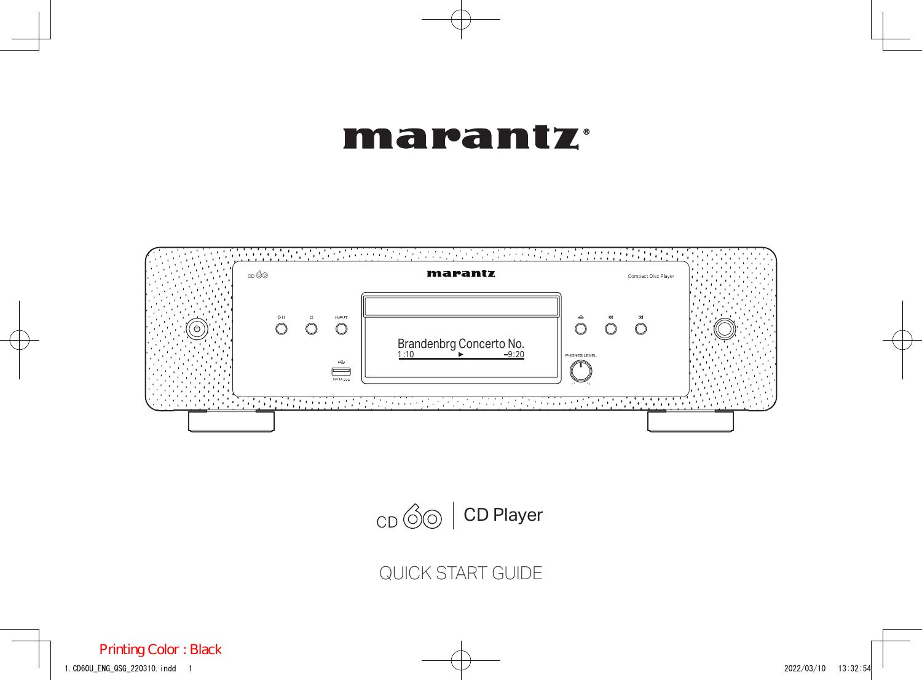#### marantz



 $CD \otimes$  CD Player

QUICK START GUIDE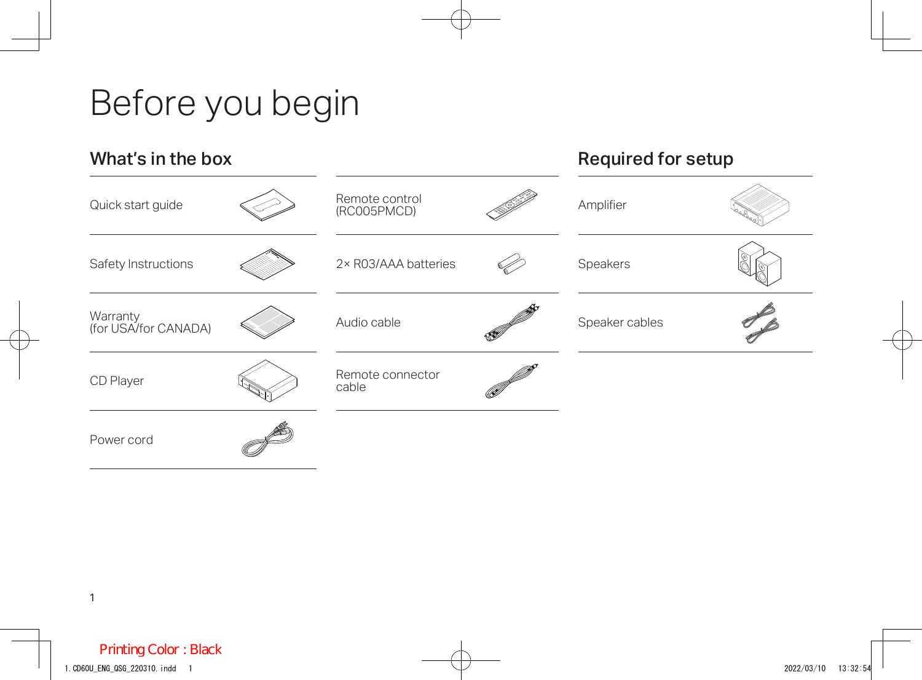# Before you begin

| What's in the box                |  |                               | <b>Required for setup</b> |  |
|----------------------------------|--|-------------------------------|---------------------------|--|
| Quick start guide                |  | Remote control<br>(RC005PMCD) | Amplifier                 |  |
| Safety Instructions              |  | 2× R03/AAA batteries          | Speakers                  |  |
| Warranty<br>(for USA/for CANADA) |  | Audio cable                   | Speaker cables            |  |
| CD Player                        |  | Remote connector<br>cable     |                           |  |
| Power cord                       |  |                               |                           |  |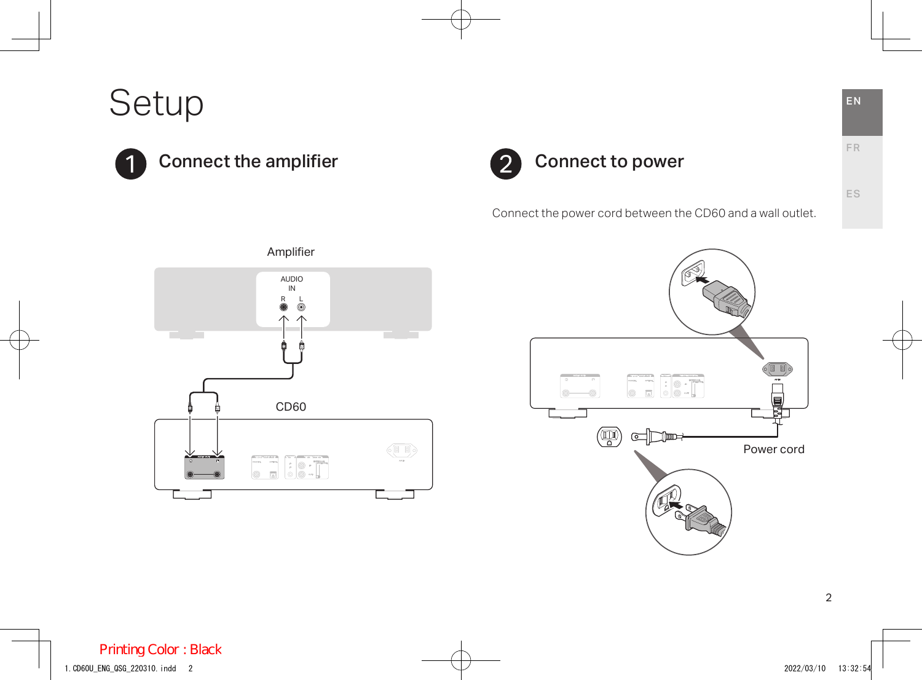Setup





Connect the power cord between the CD60 and a wall outlet.





FR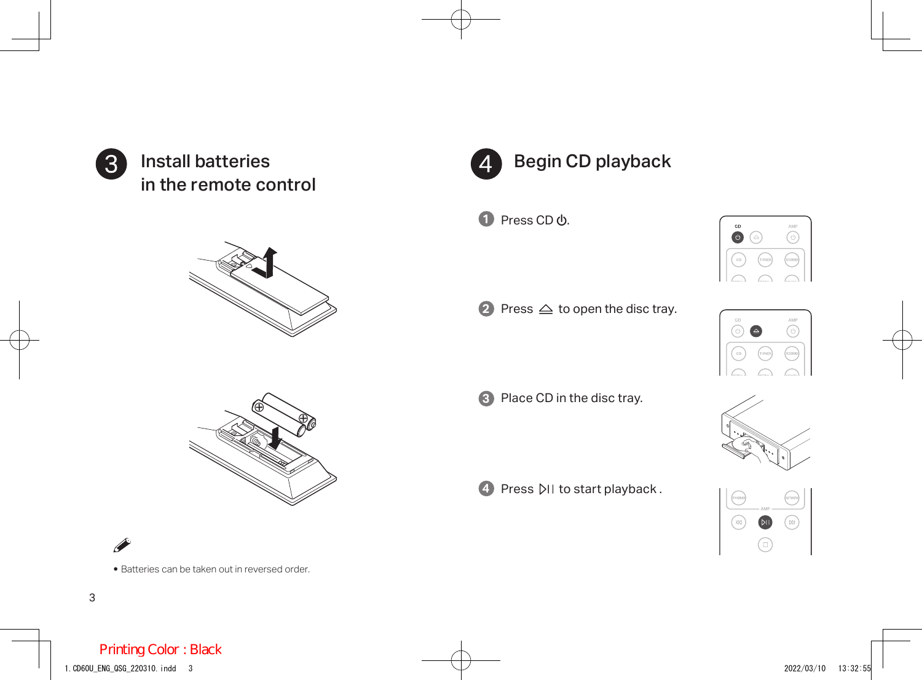

Install batteries in the remote control







• Batteries can be taken out in reversed order.



**υ** Press CD <mark>ປ</mark>.



**2** Press  $\triangleq$  to open the disc tray.



**3** Place CD in the disc tray.

**4** Press  $\triangleright$ II to start playback.



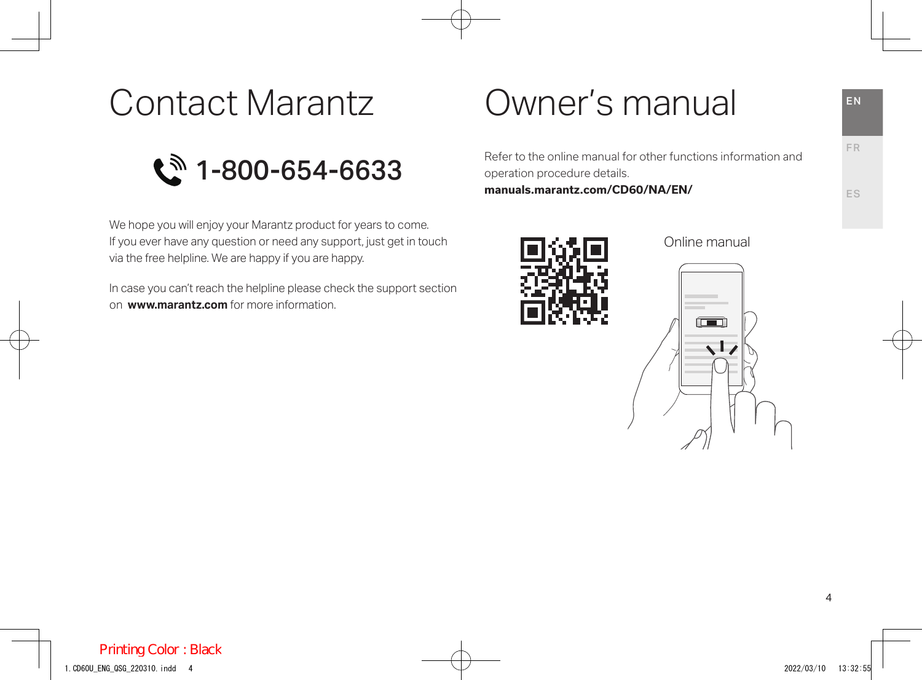## Contact Marantz

 $\mathbb{C}^{\mathbb{N}}$  1-800-654-6633

We hope you will enjoy your Marantz product for years to come. If you ever have any question or need any support, just get in touch via the free helpline. We are happy if you are happy.

In case you can't reach the helpline please check the support section on **www.marantz.com** for more information.

## Owner's manual

Refer to the online manual for other functions information and operation procedure details.

**manuals.marantz.com/CD60/NA/EN/**



Online manual



FR